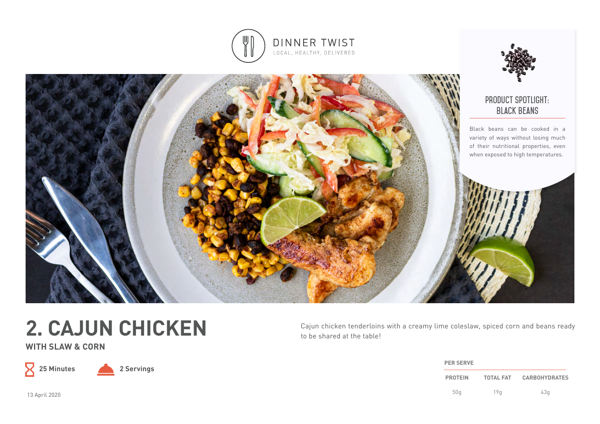





**WITH SLAW & CORN**

 $\mathsf X$ 

**25 Minutes 2 Servings**

Cajun chicken tenderloins with a creamy lime coleslaw, spiced corn and beans ready to be shared at the table!

| <b>PER SERVE</b> |                  |                      |  |
|------------------|------------------|----------------------|--|
| <b>PROTEIN</b>   | <b>TOTAL FAT</b> | <b>CARBOHYDRATES</b> |  |
| 50q              | 19a              | 43q                  |  |

13 April 2020